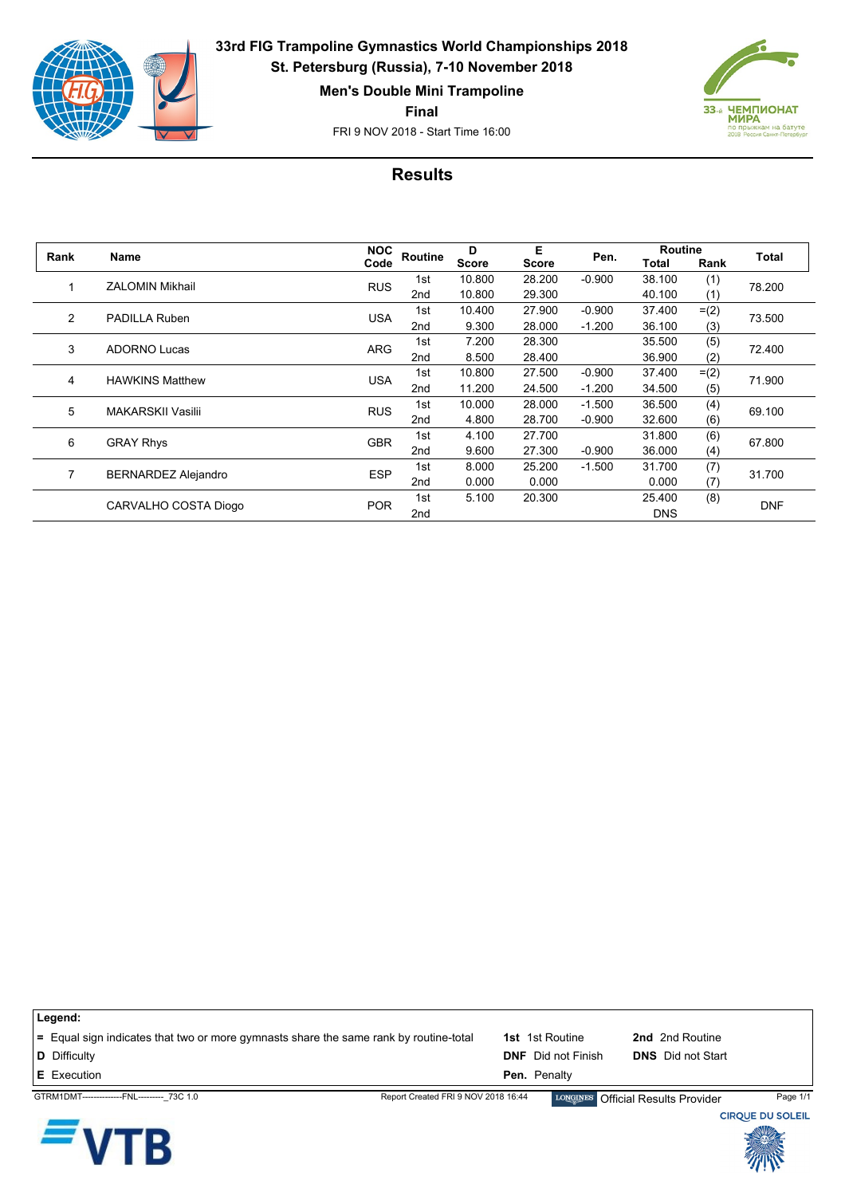

**33rd FIG Trampoline Gymnastics World Championships 2018 St. Petersburg (Russia), 7-10 November 2018**

**Men's Double Mini Trampoline**

**Final**

FRI 9 NOV 2018 - Start Time 16:00



## **Results**

| Rank | Name                       | <b>NOC</b> | Routine | D            | Е<br><b>Score</b> | Pen.     | <b>Routine</b> |         |            |
|------|----------------------------|------------|---------|--------------|-------------------|----------|----------------|---------|------------|
|      |                            | Code       |         | <b>Score</b> |                   |          | Total          | Rank    | Total      |
|      | ZALOMIN Mikhail            | <b>RUS</b> | 1st     | 10.800       | 28.200            | $-0.900$ | 38.100         | (1)     | 78.200     |
|      |                            |            | 2nd     | 10.800       | 29.300            |          | 40.100         | (1)     |            |
| 2    | PADILLA Ruben              | <b>USA</b> | 1st     | 10.400       | 27.900            | $-0.900$ | 37.400         | $= (2)$ | 73.500     |
|      |                            |            | 2nd     | 9.300        | 28.000            | $-1.200$ | 36.100         | (3)     |            |
| 3    | <b>ADORNO Lucas</b>        | <b>ARG</b> | 1st     | 7.200        | 28.300            |          | 35.500         | (5)     | 72.400     |
|      |                            |            | 2nd     | 8.500        | 28.400            |          | 36.900         | (2)     |            |
| 4    | <b>HAWKINS Matthew</b>     | <b>USA</b> | 1st     | 10.800       | 27.500            | $-0.900$ | 37.400         | $= (2)$ | 71.900     |
|      |                            |            | 2nd     | 11.200       | 24.500            | $-1.200$ | 34.500         | (5)     |            |
| 5    | <b>MAKARSKII Vasilii</b>   | <b>RUS</b> | 1st     | 10.000       | 28.000            | $-1.500$ | 36.500         | (4)     | 69.100     |
|      |                            |            | 2nd     | 4.800        | 28.700            | $-0.900$ | 32.600         | (6)     |            |
| 6    | <b>GRAY Rhys</b>           | <b>GBR</b> | 1st     | 4.100        | 27.700            |          | 31.800         | (6)     | 67.800     |
|      |                            |            | 2nd     | 9.600        | 27.300            | $-0.900$ | 36.000         | (4)     |            |
| 7    | <b>BERNARDEZ Alejandro</b> | <b>ESP</b> | 1st     | 8.000        | 25.200            | $-1.500$ | 31.700         | (7)     | 31.700     |
|      |                            |            | 2nd     | 0.000        | 0.000             |          | 0.000          | (7)     |            |
|      | CARVALHO COSTA Diogo       | <b>POR</b> | 1st     | 5.100        | 20.300            |          | 25.400         | (8)     | <b>DNF</b> |
|      |                            |            | 2nd     |              |                   |          | <b>DNS</b>     |         |            |

| Legend:                                                                               |                                     |                           |                                    |          |
|---------------------------------------------------------------------------------------|-------------------------------------|---------------------------|------------------------------------|----------|
| = Equal sign indicates that two or more gymnasts share the same rank by routine-total |                                     | <b>1st</b> 1st Routine    | 2nd 2nd Routine                    |          |
| <b>D</b> Difficulty                                                                   |                                     | <b>DNF</b> Did not Finish | <b>DNS</b> Did not Start           |          |
| <b>E</b> Execution                                                                    |                                     | <b>Pen.</b> Penalty       |                                    |          |
| GTRM1DMT---------------FNL--------- 73C 1.0                                           | Report Created FRI 9 NOV 2018 16:44 |                           | LONGINES Official Results Provider | Page 1/1 |